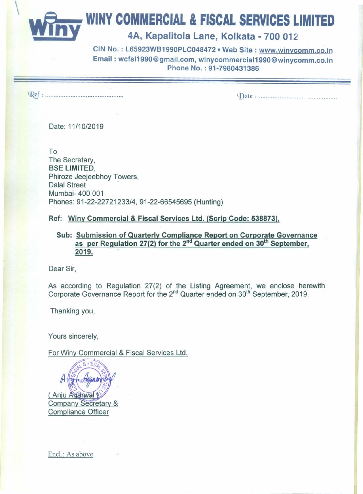**WINY COMMERCIAL & FISCAL SERVICES LIMITED**<br>4A, Kapalitola Lane, Kolkata - 700 012

CIN No.: L65923WB1990PLC048472 . Web Site: www.winycomm.co.in Email: wcfsI1990@gmail.com.winycommerciaI1990@winycomm.co.in Phone No. : 91-7980431386

~: , . *~Date: .*

Date: *11/10/2019*

To The Secretary, BSE LIMITED, Phiroze Jeejeebhoy Towers, Dalal Street Mumbai- 400 001 Phones: *91-22-22721233/4,* 91-22-66545695 (Hunting)

Ref: Winy Commercial & Fiscal Services Ltd. (Scrip Code: 538873),

Sub: Submission of Quarterly Compliance Report on Corporate Governance as per Regulation 27(2) for the 2<sup>nd</sup> Quarter ended on 30<sup>th</sup> September 2019.

Dear Sir,

As according to Regulation 27(2) of the Listing Agreement, we enclose herewith Corporate Governance Report for the 2<sup>nd</sup> Quarter ended on 30<sup>th</sup> September, 2019.

Thanking you,

Yours sincerely,

For Winy Commercial & Fiscal Services Ltd.

(Anju Aganwa Company Secretary & **Compliance Officer** 

Enel.: As above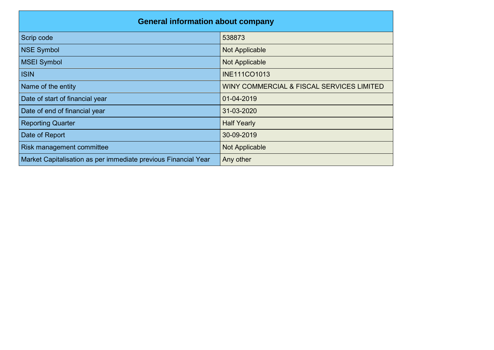| <b>General information about company</b>                       |                                           |  |  |  |  |  |
|----------------------------------------------------------------|-------------------------------------------|--|--|--|--|--|
| Scrip code                                                     | 538873                                    |  |  |  |  |  |
| <b>NSE Symbol</b>                                              | <b>Not Applicable</b>                     |  |  |  |  |  |
| <b>MSEI Symbol</b>                                             | <b>Not Applicable</b>                     |  |  |  |  |  |
| <b>ISIN</b>                                                    | <b>INE111CO1013</b>                       |  |  |  |  |  |
| Name of the entity                                             | WINY COMMERCIAL & FISCAL SERVICES LIMITED |  |  |  |  |  |
| Date of start of financial year                                | 01-04-2019                                |  |  |  |  |  |
| Date of end of financial year                                  | 31-03-2020                                |  |  |  |  |  |
| <b>Reporting Quarter</b>                                       | <b>Half Yearly</b>                        |  |  |  |  |  |
| Date of Report                                                 | 30-09-2019                                |  |  |  |  |  |
| Risk management committee                                      | <b>Not Applicable</b>                     |  |  |  |  |  |
| Market Capitalisation as per immediate previous Financial Year | Any other                                 |  |  |  |  |  |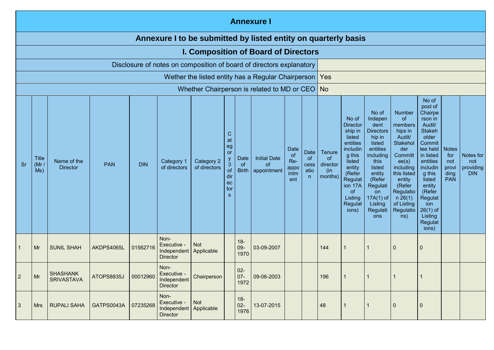|                                                                                                                                                                                                                                                                                                                                                                                                                                                                        | <b>Annexure I</b>                                              |                                      |            |                                            |                                                                                                                                                                          |                                                                                                                                                                                                       |                                                                                                                                                                                                |                                                                                                                                                                                                                                              |                                                           |                                             |           |                |  |             |             |  |  |
|------------------------------------------------------------------------------------------------------------------------------------------------------------------------------------------------------------------------------------------------------------------------------------------------------------------------------------------------------------------------------------------------------------------------------------------------------------------------|----------------------------------------------------------------|--------------------------------------|------------|--------------------------------------------|--------------------------------------------------------------------------------------------------------------------------------------------------------------------------|-------------------------------------------------------------------------------------------------------------------------------------------------------------------------------------------------------|------------------------------------------------------------------------------------------------------------------------------------------------------------------------------------------------|----------------------------------------------------------------------------------------------------------------------------------------------------------------------------------------------------------------------------------------------|-----------------------------------------------------------|---------------------------------------------|-----------|----------------|--|-------------|-------------|--|--|
|                                                                                                                                                                                                                                                                                                                                                                                                                                                                        | Annexure I to be submitted by listed entity on quarterly basis |                                      |            |                                            |                                                                                                                                                                          |                                                                                                                                                                                                       |                                                                                                                                                                                                |                                                                                                                                                                                                                                              |                                                           |                                             |           |                |  |             |             |  |  |
|                                                                                                                                                                                                                                                                                                                                                                                                                                                                        |                                                                |                                      |            |                                            |                                                                                                                                                                          |                                                                                                                                                                                                       |                                                                                                                                                                                                |                                                                                                                                                                                                                                              | <b>I. Composition of Board of Directors</b>               |                                             |           |                |  |             |             |  |  |
|                                                                                                                                                                                                                                                                                                                                                                                                                                                                        |                                                                |                                      |            |                                            | Disclosure of notes on composition of board of directors explanatory                                                                                                     |                                                                                                                                                                                                       |                                                                                                                                                                                                |                                                                                                                                                                                                                                              | Wether the listed entity has a Regular Chairperson        |                                             | Yes       |                |  |             |             |  |  |
|                                                                                                                                                                                                                                                                                                                                                                                                                                                                        |                                                                |                                      |            |                                            |                                                                                                                                                                          |                                                                                                                                                                                                       |                                                                                                                                                                                                |                                                                                                                                                                                                                                              |                                                           |                                             | <b>No</b> |                |  |             |             |  |  |
| Whether Chairperson is related to MD or CEO<br>C<br>at<br>eg<br>Date<br>Date<br>or<br>of<br>Date<br><b>Initial Date</b><br><b>Title</b><br>of<br>Name of the<br>Category 1<br>Category 2<br>Re-<br><b>DIN</b><br>$\mathbf{3}$<br><b>PAN</b><br>Sr<br>(Mr/<br><sub>of</sub><br><b>of</b><br>cess<br>of directors<br><b>Director</b><br>of directors<br>appo<br><b>Birth</b><br>of<br>appointment<br>Ms)<br>atio<br>intm<br>dir<br>$\mathsf{n}$<br>ent<br>ec<br>tor<br>s |                                                                |                                      |            | Tenure<br>of<br>director<br>(in<br>months) | No of<br><b>Director</b><br>ship in<br>listed<br>entities<br>includin<br>g this<br>listed<br>entity<br>(Refer<br>Regulat<br>ion 17A<br>0f<br>Listing<br>Regulat<br>ions) | No of<br>Indepen<br>dent<br><b>Directors</b><br>hip in<br>listed<br>entities<br>including<br>this<br>listed<br>entity<br>(Refer<br>Regulati<br><b>on</b><br>$17A(1)$ of<br>Listing<br>Regulati<br>ons | Number<br>of.<br>members<br>hips in<br>Audit/<br>Stakehol<br>der<br>Committ<br>ee(s)<br>including<br>this listed<br>entity<br>(Refer<br>Regulatio<br>n 26(1)<br>of Listing<br>Regulatio<br>ns) | No of<br>post of<br>Chairpe<br>rson in<br>Audit/<br><b>Stakeh</b><br>older<br>Commit<br>tee held<br>in listed<br>entities<br>includin<br>g this<br>listed<br>entity<br>(Refer<br>Regulat<br>ion<br>$26(1)$ of<br>Listing<br>Regulat<br>ions) | <b>Notes</b><br>for<br>not<br>provi<br>ding<br><b>PAN</b> | Notes for<br>not<br>providing<br><b>DIN</b> |           |                |  |             |             |  |  |
|                                                                                                                                                                                                                                                                                                                                                                                                                                                                        | Mr                                                             | <b>SUNIL SHAH</b>                    | AKDPS4065L | 01562716                                   | Non-<br>Executive -<br>Independent Applicable<br><b>Director</b>                                                                                                         | <b>Not</b>                                                                                                                                                                                            |                                                                                                                                                                                                | $18 -$<br>$09 -$<br>1970                                                                                                                                                                                                                     | 03-09-2007                                                |                                             | 144       |                |  | $\mathbf 0$ | $\mathbf 0$ |  |  |
| $\overline{2}$                                                                                                                                                                                                                                                                                                                                                                                                                                                         | Mr                                                             | <b>SHASHANK</b><br><b>SRIVASTAVA</b> | ATOPS8835J | 00012960                                   | Non-<br>Executive -<br>Independent<br><b>Director</b>                                                                                                                    | Chairperson                                                                                                                                                                                           |                                                                                                                                                                                                | $02 -$<br>$07 -$<br>1972                                                                                                                                                                                                                     | 09-06-2003                                                |                                             | 196       |                |  | $\mathbf 1$ | -1          |  |  |
| 3                                                                                                                                                                                                                                                                                                                                                                                                                                                                      | <b>Mrs</b>                                                     | <b>RUPALI SAHA</b>                   | GATPS0043A | 07235268                                   | Non-<br>Executive -<br>Independent Applicable<br><b>Director</b>                                                                                                         | Not                                                                                                                                                                                                   |                                                                                                                                                                                                | $18 -$<br>$02 -$<br>1976                                                                                                                                                                                                                     | 13-07-2015                                                |                                             | 48        | $\overline{1}$ |  | $\mathbf 0$ | $\mathbf 0$ |  |  |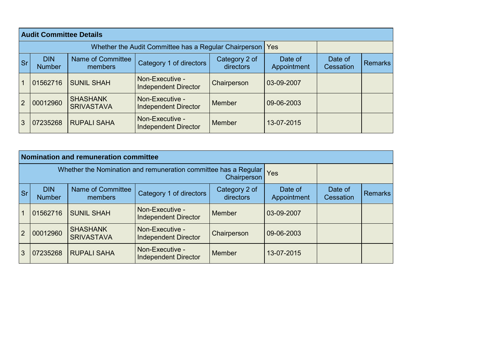|                | <b>Audit Committee Details</b> |                                                       |                                                |                            |                        |                      |                |
|----------------|--------------------------------|-------------------------------------------------------|------------------------------------------------|----------------------------|------------------------|----------------------|----------------|
|                |                                | Whether the Audit Committee has a Regular Chairperson | <b>Yes</b>                                     |                            |                        |                      |                |
| <b>Sr</b>      | <b>DIN</b><br><b>Number</b>    | Name of Committee<br>members                          | Category 1 of directors                        | Category 2 of<br>directors | Date of<br>Appointment | Date of<br>Cessation | <b>Remarks</b> |
|                | 01562716                       | <b>SUNIL SHAH</b>                                     | Non-Executive -<br><b>Independent Director</b> | Chairperson                | 03-09-2007             |                      |                |
| $\overline{2}$ | 00012960                       | <b>SHASHANK</b><br><b>SRIVASTAVA</b>                  | Non-Executive -<br><b>Independent Director</b> | <b>Member</b>              | 09-06-2003             |                      |                |
| 3              | 07235268                       | <b>RUPALI SAHA</b>                                    | Non-Executive -<br><b>Independent Director</b> | <b>Member</b>              | 13-07-2015             |                      |                |

|                |                             | Nomination and remuneration committee                           |                                                |                            |                        |                      |                |
|----------------|-----------------------------|-----------------------------------------------------------------|------------------------------------------------|----------------------------|------------------------|----------------------|----------------|
|                |                             | Whether the Nomination and remuneration committee has a Regular | Yes<br>Chairperson                             |                            |                        |                      |                |
| <b>Sr</b>      | <b>DIN</b><br><b>Number</b> | Name of Committee<br>members                                    | Category 1 of directors                        | Category 2 of<br>directors | Date of<br>Appointment | Date of<br>Cessation | <b>Remarks</b> |
| 1              | 01562716                    | <b>SUNIL SHAH</b>                                               | Non-Executive -<br><b>Independent Director</b> | Member                     | 03-09-2007             |                      |                |
| $\overline{2}$ | 00012960                    | <b>SHASHANK</b><br><b>SRIVASTAVA</b>                            | Non-Executive -<br><b>Independent Director</b> | Chairperson                | 09-06-2003             |                      |                |
| 3              | 07235268                    | <b>RUPALI SAHA</b>                                              | Non-Executive -<br><b>Independent Director</b> | Member                     | 13-07-2015             |                      |                |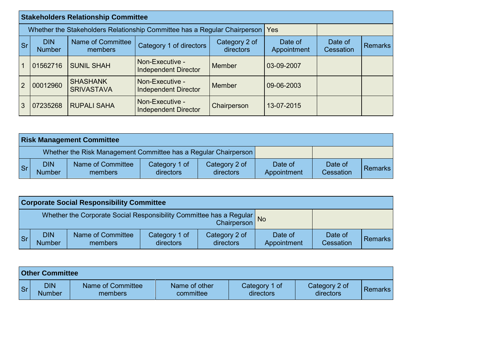|           |                                                                           | <b>Stakeholders Relationship Committee</b>                                            |                                                |               |            |                      |         |
|-----------|---------------------------------------------------------------------------|---------------------------------------------------------------------------------------|------------------------------------------------|---------------|------------|----------------------|---------|
|           | Whether the Stakeholders Relationship Committee has a Regular Chairperson | Yes                                                                                   |                                                |               |            |                      |         |
| <b>Sr</b> | <b>DIN</b><br><b>Number</b>                                               | Name of Committee<br>Category 2 of<br>Category 1 of directors<br>directors<br>members |                                                |               |            | Date of<br>Cessation | Remarks |
|           | 01562716                                                                  | <b>SUNIL SHAH</b>                                                                     | Non-Executive -<br><b>Independent Director</b> | Member        | 03-09-2007 |                      |         |
| 2         | 00012960                                                                  | <b>SHASHANK</b><br><b>SRIVASTAVA</b>                                                  | Non-Executive -<br><b>Independent Director</b> | <b>Member</b> | 09-06-2003 |                      |         |
| 3         | 07235268                                                                  | <b>RUPALI SAHA</b>                                                                    | Non-Executive -<br><b>Independent Director</b> | Chairperson   | 13-07-2015 |                      |         |

|           | <b>Risk Management Committee</b> |                                                                 |                            |                            |                        |                      |                |  |  |  |  |
|-----------|----------------------------------|-----------------------------------------------------------------|----------------------------|----------------------------|------------------------|----------------------|----------------|--|--|--|--|
|           |                                  | Whether the Risk Management Committee has a Regular Chairperson |                            |                            |                        |                      |                |  |  |  |  |
| <b>Sr</b> | <b>DIN</b><br><b>Number</b>      | Name of Committee<br>members                                    | Category 1 of<br>directors | Category 2 of<br>directors | Date of<br>Appointment | Date of<br>Cessation | <b>Remarks</b> |  |  |  |  |

|                                                                                    | <b>Corporate Social Responsibility Committee</b> |                              |                            |                            |                             |                      |                |  |  |  |  |
|------------------------------------------------------------------------------------|--------------------------------------------------|------------------------------|----------------------------|----------------------------|-----------------------------|----------------------|----------------|--|--|--|--|
| Whether the Corporate Social Responsibility Committee has a Regular<br>Chairperson |                                                  |                              |                            |                            | $\overline{\phantom{a}}$ No |                      |                |  |  |  |  |
| <b>Sr</b>                                                                          | <b>DIN</b><br><b>Number</b>                      | Name of Committee<br>members | Category 1 of<br>directors | Category 2 of<br>directors | Date of<br>Appointment      | Date of<br>Cessation | <b>Remarks</b> |  |  |  |  |

|           | <b>Other Committee</b>      |                              |                            |                            |                            |         |
|-----------|-----------------------------|------------------------------|----------------------------|----------------------------|----------------------------|---------|
| <b>Sr</b> | <b>DIN</b><br><b>Number</b> | Name of Committee<br>members | Name of other<br>committee | Category 1 of<br>directors | Category 2 of<br>directors | Remarks |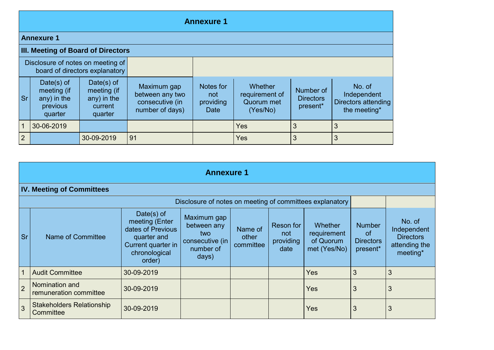|                | <b>Annexure 1</b>                                                  |                                                                     |                                                                      |                                              |                                                     |                                           |                                                              |  |  |  |
|----------------|--------------------------------------------------------------------|---------------------------------------------------------------------|----------------------------------------------------------------------|----------------------------------------------|-----------------------------------------------------|-------------------------------------------|--------------------------------------------------------------|--|--|--|
|                | <b>Annexure 1</b>                                                  |                                                                     |                                                                      |                                              |                                                     |                                           |                                                              |  |  |  |
|                | III. Meeting of Board of Directors                                 |                                                                     |                                                                      |                                              |                                                     |                                           |                                                              |  |  |  |
|                | Disclosure of notes on meeting of                                  | board of directors explanatory                                      |                                                                      |                                              |                                                     |                                           |                                                              |  |  |  |
| <b>Sr</b>      | Date $(s)$ of<br>meeting (if<br>any) in the<br>previous<br>quarter | Date $(s)$ of<br>meeting (if<br>$any)$ in the<br>current<br>quarter | Maximum gap<br>between any two<br>consecutive (in<br>number of days) | Notes for<br>not<br>providing<br><b>Date</b> | Whether<br>requirement of<br>Quorum met<br>(Yes/No) | Number of<br><b>Directors</b><br>present* | No. of<br>Independent<br>Directors attending<br>the meeting* |  |  |  |
|                | 30-06-2019                                                         |                                                                     |                                                                      |                                              | Yes                                                 | 3                                         | 3                                                            |  |  |  |
| $\overline{2}$ |                                                                    | 30-09-2019                                                          | 91                                                                   |                                              | Yes                                                 | 3                                         | 3                                                            |  |  |  |

|                           | <b>Annexure 1</b>                             |                                                                                                                   |                                                                            |                               |                                       |                                                            |                                                                |                                                                        |  |  |
|---------------------------|-----------------------------------------------|-------------------------------------------------------------------------------------------------------------------|----------------------------------------------------------------------------|-------------------------------|---------------------------------------|------------------------------------------------------------|----------------------------------------------------------------|------------------------------------------------------------------------|--|--|
|                           | <b>IV. Meeting of Committees</b>              |                                                                                                                   |                                                                            |                               |                                       |                                                            |                                                                |                                                                        |  |  |
|                           |                                               |                                                                                                                   | Disclosure of notes on meeting of committees explanatory                   |                               |                                       |                                                            |                                                                |                                                                        |  |  |
| $\overline{\mathsf{S}}$ r | Name of Committee                             | Date(s) of<br>meeting (Enter<br>dates of Previous<br>quarter and<br>Current quarter in<br>chronological<br>order) | Maximum gap<br>between any<br>two<br>consecutive (in<br>number of<br>days) | Name of<br>other<br>committee | Reson for<br>not<br>providing<br>date | <b>Whether</b><br>requirement<br>of Quorum<br>met (Yes/No) | <b>Number</b><br><sub>of</sub><br><b>Directors</b><br>present* | No. of<br>Independent<br><b>Directors</b><br>attending the<br>meeting* |  |  |
|                           | <b>Audit Committee</b>                        | 30-09-2019                                                                                                        |                                                                            |                               |                                       | <b>Yes</b>                                                 | 3                                                              | 3                                                                      |  |  |
| $\overline{2}$            | Nomination and<br>remuneration committee      | 30-09-2019                                                                                                        |                                                                            |                               |                                       | <b>Yes</b>                                                 | 3                                                              | 3                                                                      |  |  |
| $\overline{3}$            | <b>Stakeholders Relationship</b><br>Committee | 30-09-2019                                                                                                        |                                                                            |                               |                                       | <b>Yes</b>                                                 | 3                                                              | 3                                                                      |  |  |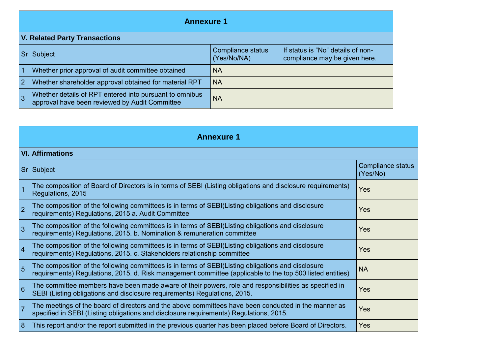|                 | <b>Annexure 1</b>                                                                                         |                                  |                                                                    |  |  |  |  |  |  |
|-----------------|-----------------------------------------------------------------------------------------------------------|----------------------------------|--------------------------------------------------------------------|--|--|--|--|--|--|
|                 | <b>V. Related Party Transactions</b>                                                                      |                                  |                                                                    |  |  |  |  |  |  |
| Sr <sub>1</sub> | <b>Subject</b>                                                                                            | Compliance status<br>(Yes/No/NA) | If status is "No" details of non-<br>compliance may be given here. |  |  |  |  |  |  |
|                 | Whether prior approval of audit committee obtained                                                        | <b>NA</b>                        |                                                                    |  |  |  |  |  |  |
| $\overline{2}$  | Whether shareholder approval obtained for material RPT                                                    | <b>NA</b>                        |                                                                    |  |  |  |  |  |  |
|                 | Whether details of RPT entered into pursuant to omnibus<br>approval have been reviewed by Audit Committee | <b>NA</b>                        |                                                                    |  |  |  |  |  |  |

|                | <b>Annexure 1</b>                                                                                                                                                                                               |                               |  |  |  |  |  |  |  |
|----------------|-----------------------------------------------------------------------------------------------------------------------------------------------------------------------------------------------------------------|-------------------------------|--|--|--|--|--|--|--|
|                | <b>VI. Affirmations</b>                                                                                                                                                                                         |                               |  |  |  |  |  |  |  |
|                | Sr Subject                                                                                                                                                                                                      | Compliance status<br>(Yes/No) |  |  |  |  |  |  |  |
| $\overline{1}$ | The composition of Board of Directors is in terms of SEBI (Listing obligations and disclosure requirements)<br>Regulations, 2015                                                                                | Yes                           |  |  |  |  |  |  |  |
| 2              | The composition of the following committees is in terms of SEBI(Listing obligations and disclosure<br>requirements) Regulations, 2015 a. Audit Committee                                                        | <b>Yes</b>                    |  |  |  |  |  |  |  |
| $\overline{3}$ | The composition of the following committees is in terms of SEBI(Listing obligations and disclosure<br>requirements) Regulations, 2015. b. Nomination & remuneration committee                                   | Yes                           |  |  |  |  |  |  |  |
| $\overline{4}$ | The composition of the following committees is in terms of SEBI(Listing obligations and disclosure<br>requirements) Regulations, 2015. c. Stakeholders relationship committee                                   | Yes                           |  |  |  |  |  |  |  |
| $\overline{5}$ | The composition of the following committees is in terms of SEBI(Listing obligations and disclosure<br>requirements) Regulations, 2015. d. Risk management committee (applicable to the top 500 listed entities) | <b>NA</b>                     |  |  |  |  |  |  |  |
| 6              | The committee members have been made aware of their powers, role and responsibilities as specified in<br>SEBI (Listing obligations and disclosure requirements) Regulations, 2015.                              | <b>Yes</b>                    |  |  |  |  |  |  |  |
| $\overline{7}$ | The meetings of the board of directors and the above committees have been conducted in the manner as<br>specified in SEBI (Listing obligations and disclosure requirements) Regulations, 2015.                  | <b>Yes</b>                    |  |  |  |  |  |  |  |
| 8              | This report and/or the report submitted in the previous quarter has been placed before Board of Directors.                                                                                                      | Yes                           |  |  |  |  |  |  |  |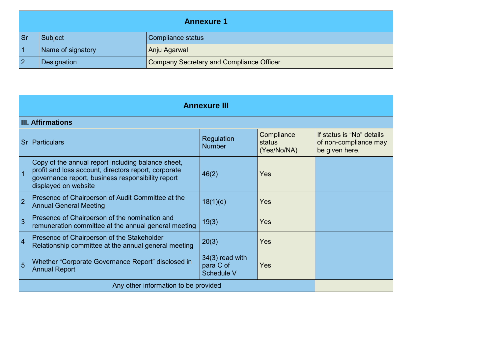| <b>Annexure 1</b> |                   |                                          |  |
|-------------------|-------------------|------------------------------------------|--|
|                   | Subject           | Compliance status                        |  |
|                   | Name of signatory | Anju Agarwal                             |  |
|                   | Designation       | Company Secretary and Compliance Officer |  |

| <b>Annexure III</b> |                                                                                                                                                                                         |                                              |                                     |                                                                      |  |  |
|---------------------|-----------------------------------------------------------------------------------------------------------------------------------------------------------------------------------------|----------------------------------------------|-------------------------------------|----------------------------------------------------------------------|--|--|
|                     | <b>III. Affirmations</b>                                                                                                                                                                |                                              |                                     |                                                                      |  |  |
|                     | Sr   Particulars                                                                                                                                                                        | Regulation<br><b>Number</b>                  | Compliance<br>status<br>(Yes/No/NA) | If status is "No" details<br>of non-compliance may<br>be given here. |  |  |
|                     | Copy of the annual report including balance sheet,<br>profit and loss account, directors report, corporate<br>governance report, business responsibility report<br>displayed on website | 46(2)                                        | Yes                                 |                                                                      |  |  |
| $\overline{2}$      | Presence of Chairperson of Audit Committee at the<br><b>Annual General Meeting</b>                                                                                                      | 18(1)(d)                                     | Yes                                 |                                                                      |  |  |
| 3                   | Presence of Chairperson of the nomination and<br>remuneration committee at the annual general meeting                                                                                   | 19(3)                                        | <b>Yes</b>                          |                                                                      |  |  |
| $\overline{4}$      | Presence of Chairperson of the Stakeholder<br>Relationship committee at the annual general meeting                                                                                      | 20(3)                                        | <b>Yes</b>                          |                                                                      |  |  |
| 5                   | Whether "Corporate Governance Report" disclosed in<br><b>Annual Report</b>                                                                                                              | $34(3)$ read with<br>para C of<br>Schedule V | <b>Yes</b>                          |                                                                      |  |  |
|                     | Any other information to be provided                                                                                                                                                    |                                              |                                     |                                                                      |  |  |